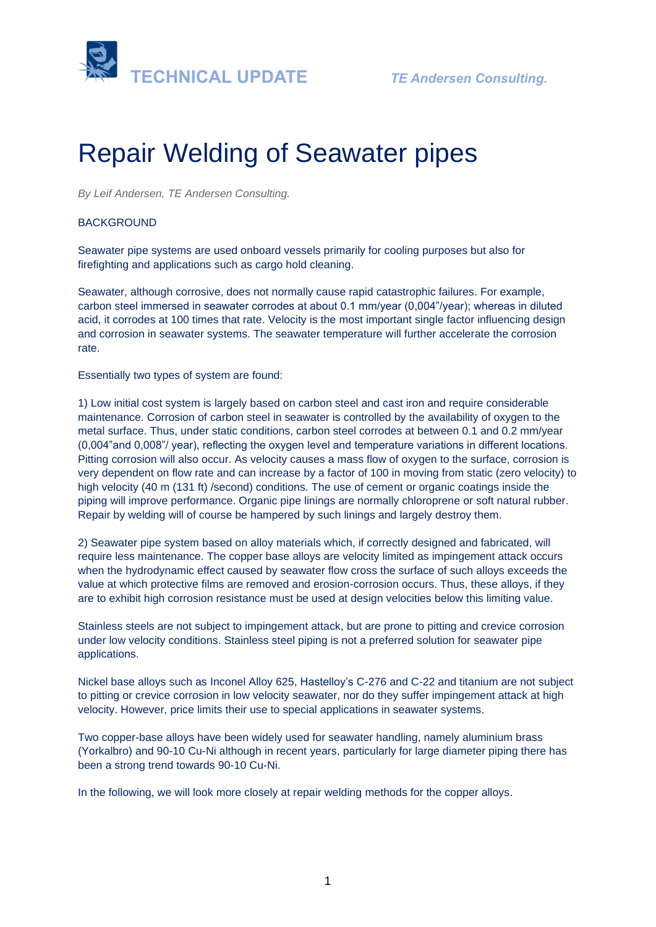

# Repair Welding of Seawater pipes

*By Leif Andersen, TE Andersen Consulting.* 

## **BACKGROUND**

Seawater pipe systems are used onboard vessels primarily for cooling purposes but also for firefighting and applications such as cargo hold cleaning.

Seawater, although corrosive, does not normally cause rapid catastrophic failures. For example, carbon steel immersed in seawater corrodes at about 0.1 mm/year (0,004"/year); whereas in diluted acid, it corrodes at 100 times that rate. Velocity is the most important single factor influencing design and corrosion in seawater systems. The seawater temperature will further accelerate the corrosion rate.

Essentially two types of system are found:

1) Low initial cost system is largely based on carbon steel and cast iron and require considerable maintenance. Corrosion of carbon steel in seawater is controlled by the availability of oxygen to the metal surface. Thus, under static conditions, carbon steel corrodes at between 0.1 and 0.2 mm/year (0,004"and 0,008"/ year), reflecting the oxygen level and temperature variations in different locations. Pitting corrosion will also occur. As velocity causes a mass flow of oxygen to the surface, corrosion is very dependent on flow rate and can increase by a factor of 100 in moving from static (zero velocity) to high velocity (40 m (131 ft) /second) conditions. The use of cement or organic coatings inside the piping will improve performance. Organic pipe linings are normally chloroprene or soft natural rubber. Repair by welding will of course be hampered by such linings and largely destroy them.

2) Seawater pipe system based on alloy materials which, if correctly designed and fabricated, will require less maintenance. The copper base alloys are velocity limited as impingement attack occurs when the hydrodynamic effect caused by seawater flow cross the surface of such alloys exceeds the value at which protective films are removed and erosion-corrosion occurs. Thus, these alloys, if they are to exhibit high corrosion resistance must be used at design velocities below this limiting value.

Stainless steels are not subject to impingement attack, but are prone to pitting and crevice corrosion under low velocity conditions. Stainless steel piping is not a preferred solution for seawater pipe applications.

Nickel base alloys such as Inconel Alloy 625, Hastelloy's C-276 and C-22 and titanium are not subject to pitting or crevice corrosion in low velocity seawater, nor do they suffer impingement attack at high velocity. However, price limits their use to special applications in seawater systems.

Two copper-base alloys have been widely used for seawater handling, namely aluminium brass (Yorkalbro) and 90-10 Cu-Ni although in recent years, particularly for large diameter piping there has been a strong trend towards 90-10 Cu-Ni.

In the following, we will look more closely at repair welding methods for the copper alloys.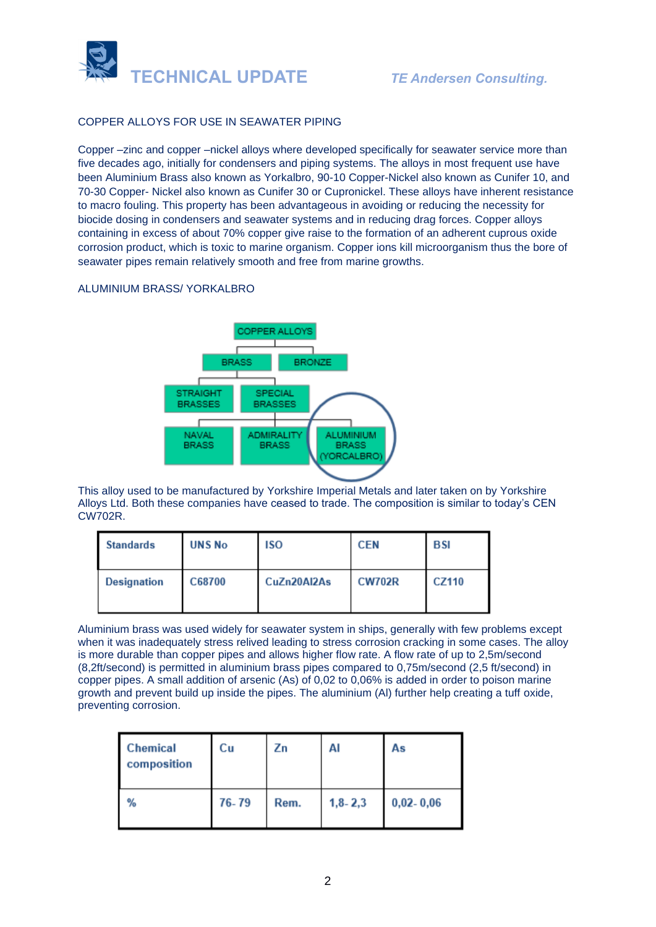

# COPPER ALLOYS FOR USE IN SEAWATER PIPING

Copper –zinc and copper –nickel alloys where developed specifically for seawater service more than five decades ago, initially for condensers and piping systems. The alloys in most frequent use have been Aluminium Brass also known as Yorkalbro, 90-10 Copper-Nickel also known as Cunifer 10, and 70-30 Copper- Nickel also known as Cunifer 30 or Cupronickel. These alloys have inherent resistance to macro fouling. This property has been advantageous in avoiding or reducing the necessity for biocide dosing in condensers and seawater systems and in reducing drag forces. Copper alloys containing in excess of about 70% copper give raise to the formation of an adherent cuprous oxide corrosion product, which is toxic to marine organism. Copper ions kill microorganism thus the bore of seawater pipes remain relatively smooth and free from marine growths.

### ALUMINIUM BRASS/ YORKALBRO



This alloy used to be manufactured by Yorkshire Imperial Metals and later taken on by Yorkshire Alloys Ltd. Both these companies have ceased to trade. The composition is similar to today's CEN CW702R.

| <b>Standards</b>   | <b>UNS No</b> | <b>ISO</b>  | <b>CEN</b>    | <b>BSI</b> |
|--------------------|---------------|-------------|---------------|------------|
| <b>Designation</b> | C68700        | CuZn20Al2As | <b>CW702R</b> | CZ110      |

Aluminium brass was used widely for seawater system in ships, generally with few problems except when it was inadequately stress relived leading to stress corrosion cracking in some cases. The alloy is more durable than copper pipes and allows higher flow rate. A flow rate of up to 2,5m/second (8,2ft/second) is permitted in aluminium brass pipes compared to 0,75m/second (2,5 ft/second) in copper pipes. A small addition of arsenic (As) of 0,02 to 0,06% is added in order to poison marine growth and prevent build up inside the pipes. The aluminium (Al) further help creating a tuff oxide, preventing corrosion.

| <b>Chemical</b><br>composition | Сu    | Ζn   | AI          | As            |
|--------------------------------|-------|------|-------------|---------------|
| %                              | 76-79 | Rem. | $1,8 - 2,3$ | $0,02 - 0,06$ |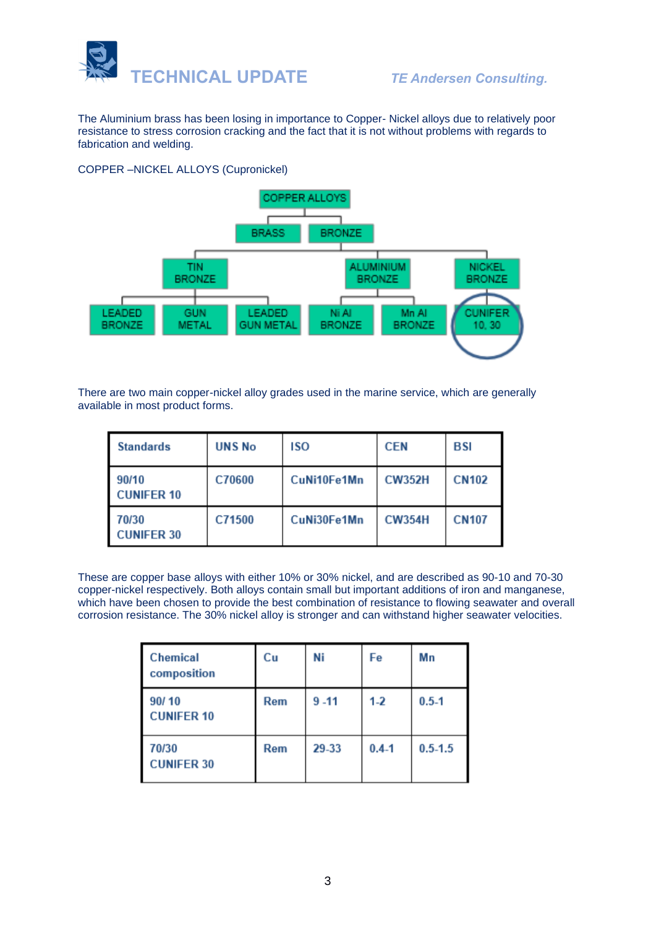

The Aluminium brass has been losing in importance to Copper- Nickel alloys due to relatively poor resistance to stress corrosion cracking and the fact that it is not without problems with regards to fabrication and welding.

# COPPER –NICKEL ALLOYS (Cupronickel)



There are two main copper-nickel alloy grades used in the marine service, which are generally available in most product forms.

| <b>Standards</b>           | <b>UNS No</b> | <b>ISO</b>  | <b>CEN</b>    | <b>BSI</b>   |
|----------------------------|---------------|-------------|---------------|--------------|
| 90/10<br><b>CUNIFER 10</b> | C70600        | CuNi10Fe1Mn | <b>CW352H</b> | <b>CN102</b> |
| 70/30<br><b>CUNIFER 30</b> | C71500        | CuNi30Fe1Mn | <b>CW354H</b> | <b>CN107</b> |

These are copper base alloys with either 10% or 30% nickel, and are described as 90-10 and 70-30 copper-nickel respectively. Both alloys contain small but important additions of iron and manganese, which have been chosen to provide the best combination of resistance to flowing seawater and overall corrosion resistance. The 30% nickel alloy is stronger and can withstand higher seawater velocities.

| <b>Chemical</b><br>composition | Cu         | Ni       | Fe        | Mn          |
|--------------------------------|------------|----------|-----------|-------------|
| 90/10<br><b>CUNIFER 10</b>     | <b>Rem</b> | $9 - 11$ | $1-2$     | $0.5 - 1$   |
| 70/30<br><b>CUNIFER 30</b>     | Rem        | 29-33    | $0.4 - 1$ | $0.5 - 1.5$ |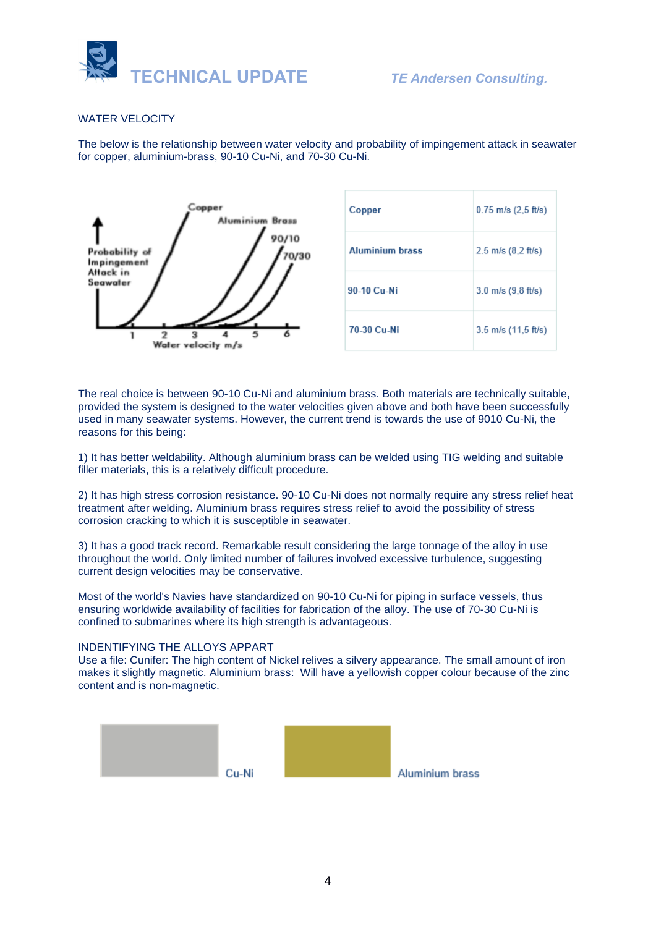

### WATER VELOCITY

The below is the relationship between water velocity and probability of impingement attack in seawater for copper, aluminium-brass, 90-10 Cu-Ni, and 70-30 Cu-Ni.



| Copper                 | $0.75$ m/s $(2,5$ ft/s) |
|------------------------|-------------------------|
| <b>Aluminium brass</b> | $2.5$ m/s $(8.2$ ft/s)  |
| 90-10 Cu-Ni            | $3.0$ m/s $(9, 8$ ft/s) |
| 70-30 Cu-Ni            | $3.5$ m/s (11,5 ft/s)   |

The real choice is between 90-10 Cu-Ni and aluminium brass. Both materials are technically suitable, provided the system is designed to the water velocities given above and both have been successfully used in many seawater systems. However, the current trend is towards the use of 9010 Cu-Ni, the reasons for this being:

1) It has better weldability. Although aluminium brass can be welded using TIG welding and suitable filler materials, this is a relatively difficult procedure.

2) It has high stress corrosion resistance. 90-10 Cu-Ni does not normally require any stress relief heat treatment after welding. Aluminium brass requires stress relief to avoid the possibility of stress corrosion cracking to which it is susceptible in seawater.

3) It has a good track record. Remarkable result considering the large tonnage of the alloy in use throughout the world. Only limited number of failures involved excessive turbulence, suggesting current design velocities may be conservative.

Most of the world's Navies have standardized on 90-10 Cu-Ni for piping in surface vessels, thus ensuring worldwide availability of facilities for fabrication of the alloy. The use of 70-30 Cu-Ni is confined to submarines where its high strength is advantageous.

#### INDENTIFYING THE ALLOYS APPART

Use a file: Cunifer: The high content of Nickel relives a silvery appearance. The small amount of iron makes it slightly magnetic. Aluminium brass: Will have a yellowish copper colour because of the zinc content and is non-magnetic.

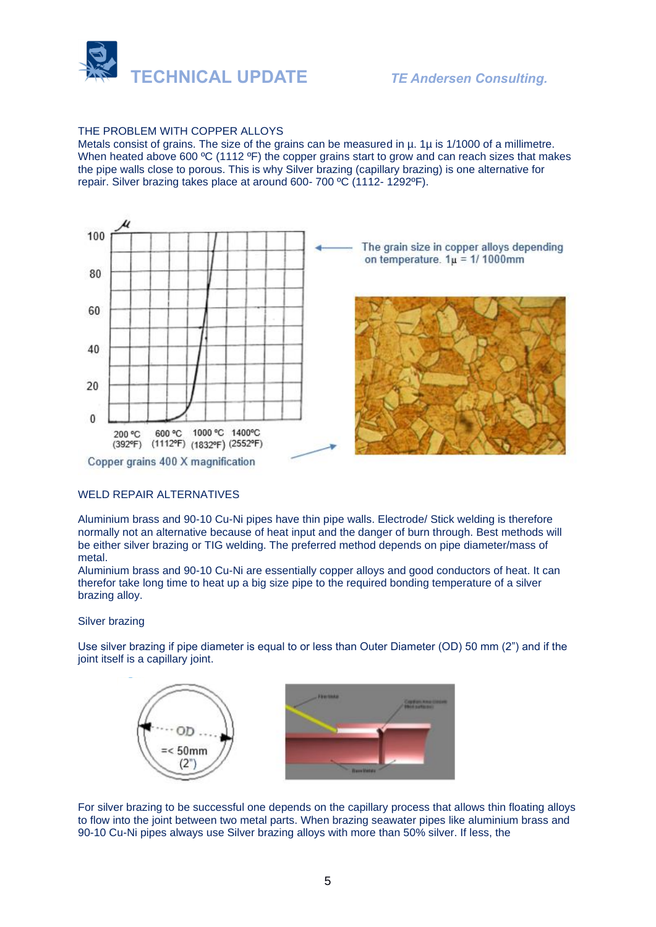

### THE PROBLEM WITH COPPER ALLOYS

Metals consist of grains. The size of the grains can be measured in  $\mu$ . 1 $\mu$  is 1/1000 of a millimetre. When heated above 600 °C (1112 °F) the copper grains start to grow and can reach sizes that makes the pipe walls close to porous. This is why Silver brazing (capillary brazing) is one alternative for repair. Silver brazing takes place at around 600- 700 ºC (1112- 1292ºF).



#### WELD REPAIR ALTERNATIVES

Aluminium brass and 90-10 Cu-Ni pipes have thin pipe walls. Electrode/ Stick welding is therefore normally not an alternative because of heat input and the danger of burn through. Best methods will be either silver brazing or TIG welding. The preferred method depends on pipe diameter/mass of metal.

Aluminium brass and 90-10 Cu-Ni are essentially copper alloys and good conductors of heat. It can therefor take long time to heat up a big size pipe to the required bonding temperature of a silver brazing alloy.

#### Silver brazing

Use silver brazing if pipe diameter is equal to or less than Outer Diameter (OD) 50 mm (2") and if the joint itself is a capillary joint.





For silver brazing to be successful one depends on the capillary process that allows thin floating alloys to flow into the joint between two metal parts. When brazing seawater pipes like aluminium brass and 90-10 Cu-Ni pipes always use Silver brazing alloys with more than 50% silver. If less, the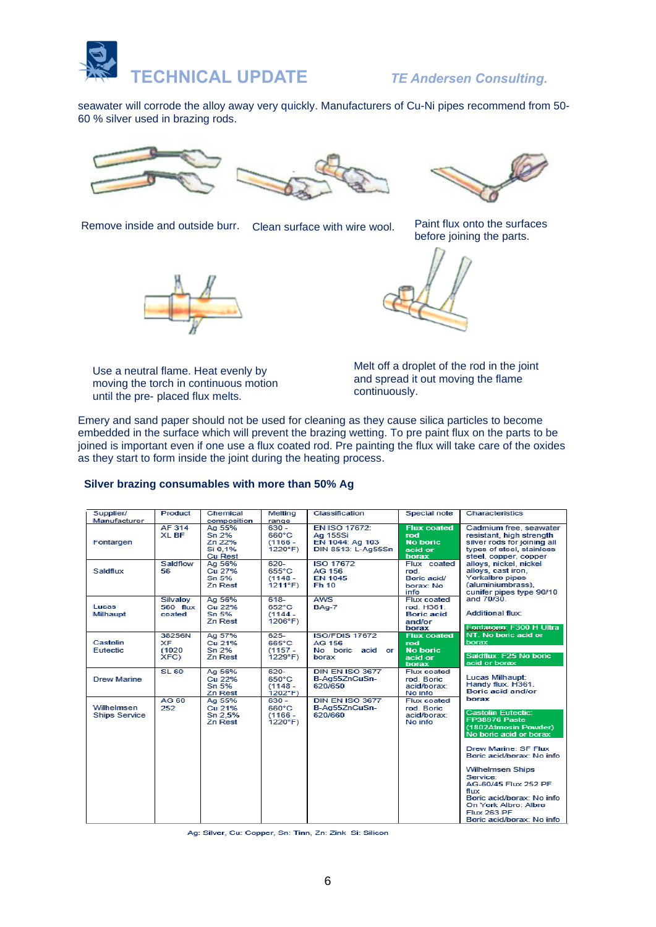

seawater will corrode the alloy away very quickly. Manufacturers of Cu-Ni pipes recommend from 50- 60 % silver used in brazing rods.







before joining the parts.





Use a neutral flame. Heat evenly by moving the torch in continuous motion until the pre- placed flux melts.

Melt off a droplet of the rod in the joint and spread it out moving the flame continuously.

Emery and sand paper should not be used for cleaning as they cause silica particles to become embedded in the surface which will prevent the brazing wetting. To pre paint flux on the parts to be joined is important even if one use a flux coated rod. Pre painting the flux will take care of the oxides as they start to form inside the joint during the heating process.

#### **Silver brazing consumables with more than 50% Ag**

| Supplier/<br>Manufacturer          | Product                        | Chemical<br>composition                                | Melting<br>range                                 | Classification                                                     | Special note                                                      | Characteristics                                                                                                                                                                                                                                                                                                                           |
|------------------------------------|--------------------------------|--------------------------------------------------------|--------------------------------------------------|--------------------------------------------------------------------|-------------------------------------------------------------------|-------------------------------------------------------------------------------------------------------------------------------------------------------------------------------------------------------------------------------------------------------------------------------------------------------------------------------------------|
| Fontargen                          | AF 314<br>XL BF                | Ag 55%<br>Sn 2%<br>Zn 22%<br>Si 0.1%<br><b>Cu Rest</b> | $630 -$<br>660°C<br>$(1166 -$<br>1220°F)         | EN ISO 17672:<br>Ag 155Si<br>EN 1044: Ag 103<br>DIN 8513: L-Ag55Sn | <b>Flux coated</b><br>rod<br><b>No boric</b><br>acid or<br>borax  | Cadmium free, seawater<br>resistant, high strength<br>silver rods for joining all<br>types of steel, stainless<br>steel, copper, copper                                                                                                                                                                                                   |
| Saldflux                           | Saldflow<br>56                 | Ag 56%<br>Cu 27%<br>Sn 5%<br>Zn Rest                   | $620 -$<br>655°C<br>$(1148 -$<br>1211°F          | <b>ISO 17672</b><br>AG 156<br><b>EN 1045</b><br>Fh 10              | Flux coated<br>rod<br>Boric acid/<br>borax: No<br>info            | allovs, nickel, nickel<br>alloys, cast iron.<br>Yorkalbro pipes<br>(aluminiumbrass),<br>cunifer pipes type 90/10                                                                                                                                                                                                                          |
| Lucas<br>Milhaupt                  | Silvaloy<br>560 flux<br>coated | Ag 56%<br>Cu 22%<br>Sn 5%<br>Zn Rest                   | $618 -$<br>652°C<br>$(1144 -$<br>$1206^{\circ}F$ | <b>AWS</b><br>BAg-7                                                | Flux coated<br>rod. H361.<br><b>Boric acid</b><br>and/or<br>borax | and 70/30<br><b>Additional flux:</b><br><b>Eontaroen: F300 H Ultra</b>                                                                                                                                                                                                                                                                    |
| Castolin<br>Eutectic               | 38256N<br>XF<br>(1020)<br>XFC) | Ag 57%<br>Cu 21%<br>Sn 2%<br>Zn Rest                   | $625 -$<br>665°C<br>$(1157 -$<br>1229°F)         | <b>ISO/FDIS 17672</b><br>AG 156<br>No boric acid or<br>borax       | <b>Flux coated</b><br>rod<br><b>No boric</b><br>acid or<br>borax  | NT. No boric acid or<br>borax<br>Saldflux: F25 No boric<br>acid or borax                                                                                                                                                                                                                                                                  |
| <b>Drew Marine</b>                 | <b>SL 60</b>                   | Ag 56%<br>Cu 22%<br>Sn 5%<br>Zn Rest                   | $620 -$<br>650°C<br>$(1148 -$<br>1202°F)         | <b>DIN EN ISO 3677</b><br>B-Ag55ZnCuSn-<br>620/650                 | Flux coated<br>rod. Boric<br>acid/borax:<br>No info               | Lucas Milhaupt:<br>Handy flux. H361.<br>Boric acid and/or                                                                                                                                                                                                                                                                                 |
| Wilhelmsen<br><b>Ships Service</b> | AG 60<br>252                   | Ag 55%<br>Cu 21%<br>Sn 2,5%<br>Zn Rest                 | $630 -$<br>660°C<br>$(1166 -$<br>1220°F)         | <b>DIN EN ISO 3677</b><br>B-Ag55ZnCuSn-<br>620/660                 | Flux coated<br>rod. Boric<br>acid/borax:<br>No info               | borax<br><b>Castolin Eutectic:</b><br>FP38976 Paste<br>(1802Atmosin Powder)<br>No boric acid or borax<br>Drew Marine: SF Flux<br>Boric acid/borax: No info<br><b>Wilhelmsen Ships</b><br>Service:<br>AG-60/45 Flux 252 PF<br>flux<br>Boric acid/borax: No info<br>On York Albro: Albro<br><b>Flux 263 PF</b><br>Boric acid/borax: No info |

Ag: Silver, Cu: Copper, Sn: Tinn, Zn: Zink Si: Silicon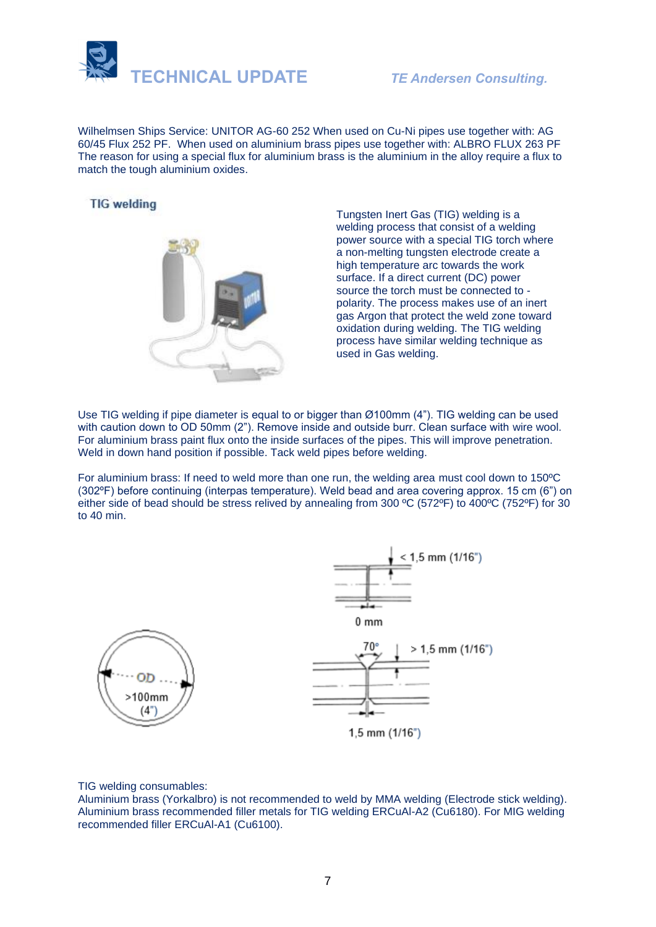

Wilhelmsen Ships Service: UNITOR AG-60 252 When used on Cu-Ni pipes use together with: AG 60/45 Flux 252 PF. When used on aluminium brass pipes use together with: ALBRO FLUX 263 PF The reason for using a special flux for aluminium brass is the aluminium in the alloy require a flux to match the tough aluminium oxides.

# **TIG** welding



Tungsten Inert Gas (TIG) welding is a welding process that consist of a welding power source with a special TIG torch where a non-melting tungsten electrode create a high temperature arc towards the work surface. If a direct current (DC) power source the torch must be connected to polarity. The process makes use of an inert gas Argon that protect the weld zone toward oxidation during welding. The TIG welding process have similar welding technique as used in Gas welding.

Use TIG welding if pipe diameter is equal to or bigger than Ø100mm (4"). TIG welding can be used with caution down to OD 50mm (2"). Remove inside and outside burr. Clean surface with wire wool. For aluminium brass paint flux onto the inside surfaces of the pipes. This will improve penetration. Weld in down hand position if possible. Tack weld pipes before welding.

For aluminium brass: If need to weld more than one run, the welding area must cool down to 150ºC (302ºF) before continuing (interpas temperature). Weld bead and area covering approx. 15 cm (6") on either side of bead should be stress relived by annealing from 300 ºC (572ºF) to 400ºC (752ºF) for 30 to 40 min.



TIG welding consumables:

Aluminium brass (Yorkalbro) is not recommended to weld by MMA welding (Electrode stick welding). Aluminium brass recommended filler metals for TIG welding ERCuAl-A2 (Cu6180). For MIG welding recommended filler ERCuAl-A1 (Cu6100).